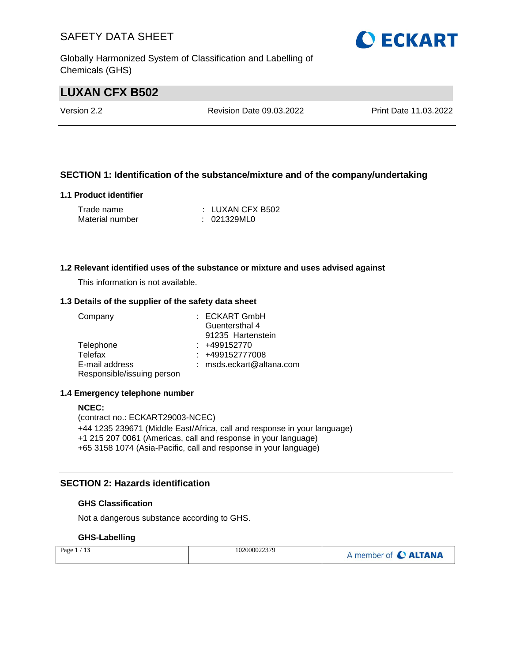Globally Harmonized System of Classification and Labelling of Chemicals (GHS)

### **LUXAN CFX B502**

Version 2.2 Revision Date 09.03.2022 Print Date 11.03.2022

#### **SECTION 1: Identification of the substance/mixture and of the company/undertaking**

#### **1.1 Product identifier**

| Trade name      | : LUXAN CFX B502 |
|-----------------|------------------|
| Material number | : 021329ML0      |

#### **1.2 Relevant identified uses of the substance or mixture and uses advised against**

This information is not available.

#### **1.3 Details of the supplier of the safety data sheet**

| Company                    | : ECKART GmbH            |
|----------------------------|--------------------------|
|                            | Guentersthal 4           |
|                            | 91235 Hartenstein        |
| Telephone                  | $: +499152770$           |
| Telefax                    | $: +499152777008$        |
| E-mail address             | : msds.eckart@altana.com |
| Responsible/issuing person |                          |

#### **1.4 Emergency telephone number**

#### **NCEC:**

(contract no.: ECKART29003-NCEC) +44 1235 239671 (Middle East/Africa, call and response in your language) +1 215 207 0061 (Americas, call and response in your language) +65 3158 1074 (Asia-Pacific, call and response in your language)

#### **SECTION 2: Hazards identification**

#### **GHS Classification**

Not a dangerous substance according to GHS.

#### **GHS-Labelling**

| Page $1/13$ | 102000022379 | A member of C ALTANA |
|-------------|--------------|----------------------|
|-------------|--------------|----------------------|

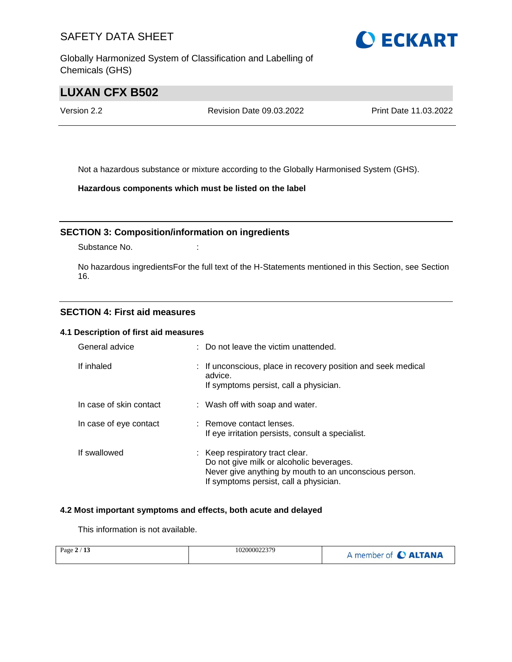Globally Harmonized System of Classification and Labelling of Chemicals (GHS)

### **LUXAN CFX B502**

Version 2.2 Revision Date 09.03.2022 Print Date 11.03.2022

Not a hazardous substance or mixture according to the Globally Harmonised System (GHS).

**Hazardous components which must be listed on the label**

#### **SECTION 3: Composition/information on ingredients**

Substance No. **:** :

No hazardous ingredientsFor the full text of the H-Statements mentioned in this Section, see Section 16.

#### **SECTION 4: First aid measures**

#### **4.1 Description of first aid measures**

| General advice          | : Do not leave the victim unattended.                                                                                                                                           |
|-------------------------|---------------------------------------------------------------------------------------------------------------------------------------------------------------------------------|
| If inhaled              | : If unconscious, place in recovery position and seek medical<br>advice.<br>If symptoms persist, call a physician.                                                              |
| In case of skin contact | : Wash off with soap and water.                                                                                                                                                 |
| In case of eye contact  | : Remove contact lenses.<br>If eye irritation persists, consult a specialist.                                                                                                   |
| If swallowed            | : Keep respiratory tract clear.<br>Do not give milk or alcoholic beverages.<br>Never give anything by mouth to an unconscious person.<br>If symptoms persist, call a physician. |

#### **4.2 Most important symptoms and effects, both acute and delayed**

This information is not available.

| Page $2/13$ | 102000022379 | A member of C ALTANA |
|-------------|--------------|----------------------|
|-------------|--------------|----------------------|

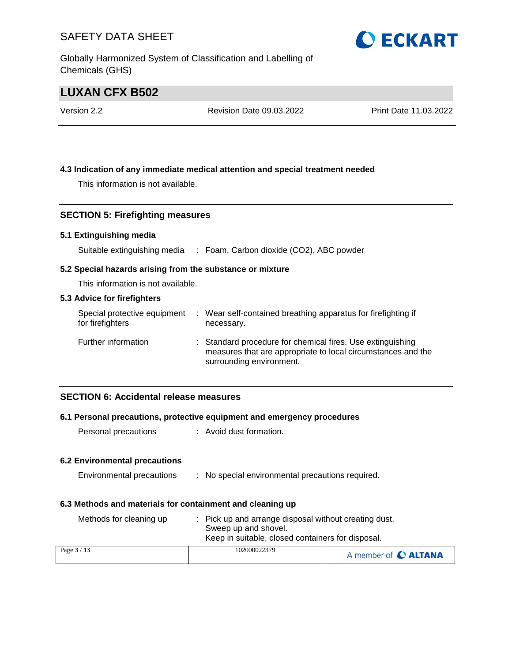Globally Harmonized System of Classification and Labelling of Chemicals (GHS)

### **LUXAN CFX B502**

| Version 2.2 | Revision Date 09.03.2022 | Print Date 11.03.2022 |
|-------------|--------------------------|-----------------------|
|             |                          |                       |

#### **4.3 Indication of any immediate medical attention and special treatment needed**

This information is not available.

#### **SECTION 5: Firefighting measures**

#### **5.1 Extinguishing media**

Suitable extinguishing media : Foam, Carbon dioxide (CO2), ABC powder

#### **5.2 Special hazards arising from the substance or mixture**

This information is not available.

#### **5.3 Advice for firefighters**

| Special protective equipment<br>for firefighters | : Wear self-contained breathing apparatus for firefighting if<br>necessary.                                                                            |
|--------------------------------------------------|--------------------------------------------------------------------------------------------------------------------------------------------------------|
| Further information                              | : Standard procedure for chemical fires. Use extinguishing<br>measures that are appropriate to local circumstances and the<br>surrounding environment. |

#### **SECTION 6: Accidental release measures**

#### **6.1 Personal precautions, protective equipment and emergency procedures**

Personal precautions : Avoid dust formation.

#### **6.2 Environmental precautions**

| Environmental precautions | No special environmental precautions required. |  |
|---------------------------|------------------------------------------------|--|
|                           |                                                |  |

#### **6.3 Methods and materials for containment and cleaning up**

| Methods for cleaning up | : Pick up and arrange disposal without creating dust.<br>Sweep up and shovel.<br>Keep in suitable, closed containers for disposal. |                      |
|-------------------------|------------------------------------------------------------------------------------------------------------------------------------|----------------------|
| Page $3/13$             | 102000022379                                                                                                                       | A member of C ALTANA |

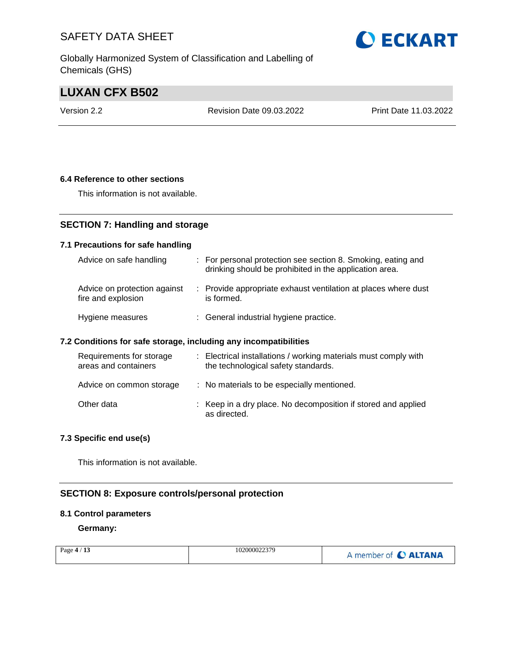Globally Harmonized System of Classification and Labelling of Chemicals (GHS)

### **LUXAN CFX B502**

Version 2.2 Revision Date 09.03.2022 Print Date 11.03.2022

#### **6.4 Reference to other sections**

This information is not available.

### **SECTION 7: Handling and storage**

#### **7.1 Precautions for safe handling**

| Advice on safe handling                            | : For personal protection see section 8. Smoking, eating and<br>drinking should be prohibited in the application area. |
|----------------------------------------------------|------------------------------------------------------------------------------------------------------------------------|
| Advice on protection against<br>fire and explosion | : Provide appropriate exhaust ventilation at places where dust<br>is formed.                                           |
| Hygiene measures                                   | : General industrial hygiene practice.                                                                                 |

#### **7.2 Conditions for safe storage, including any incompatibilities**

| Requirements for storage<br>areas and containers | : Electrical installations / working materials must comply with<br>the technological safety standards. |
|--------------------------------------------------|--------------------------------------------------------------------------------------------------------|
| Advice on common storage                         | : No materials to be especially mentioned.                                                             |
| Other data                                       | : Keep in a dry place. No decomposition if stored and applied<br>as directed.                          |

#### **7.3 Specific end use(s)**

This information is not available.

### **SECTION 8: Exposure controls/personal protection**

#### **8.1 Control parameters**

**Germany:**

| Page $4/13$ | 102000022379 | A member of C ALTANA |
|-------------|--------------|----------------------|
|-------------|--------------|----------------------|

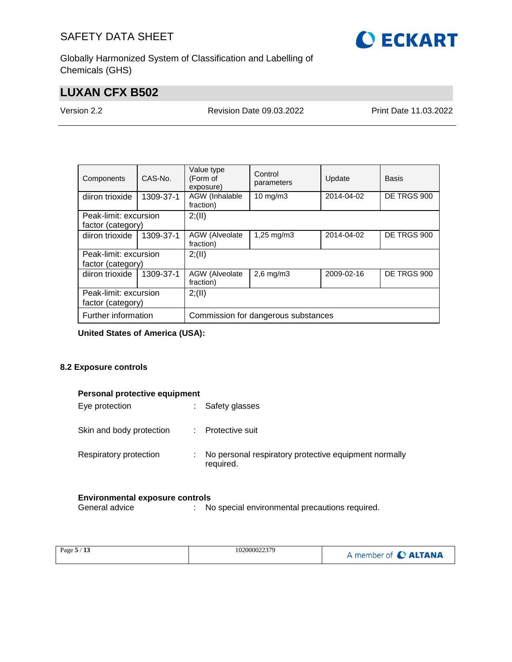

Globally Harmonized System of Classification and Labelling of Chemicals (GHS)

### **LUXAN CFX B502**

Version 2.2 Revision Date 09.03.2022 Print Date 11.03.2022

| Components            | CAS-No.   | Value type<br>(Form of<br>exposure) | Control<br>parameters   | Update     | Basis       |  |
|-----------------------|-----------|-------------------------------------|-------------------------|------------|-------------|--|
| diiron trioxide       | 1309-37-1 | AGW (Inhalable<br>fraction)         | $10$ mg/m $3$           | 2014-04-02 | DE TRGS 900 |  |
| Peak-limit: excursion |           | 2; (II)                             |                         |            |             |  |
| factor (category)     |           |                                     |                         |            |             |  |
| diiron trioxide       | 1309-37-1 | AGW (Alveolate<br>fraction)         | $1,25 \,\mathrm{mq/m3}$ | 2014-04-02 | DE TRGS 900 |  |
| Peak-limit: excursion |           | 2; (II)                             |                         |            |             |  |
| factor (category)     |           |                                     |                         |            |             |  |
| diiron trioxide       | 1309-37-1 | AGW (Alveolate<br>fraction)         | $2,6$ mg/m $3$          | 2009-02-16 | DE TRGS 900 |  |
| Peak-limit: excursion |           | 2; (II)                             |                         |            |             |  |
| factor (category)     |           |                                     |                         |            |             |  |
| Further information   |           | Commission for dangerous substances |                         |            |             |  |

**United States of America (USA):**

#### **8.2 Exposure controls**

|  |  | Personal protective equipment |
|--|--|-------------------------------|
|--|--|-------------------------------|

| Eye protection           |    | Safety glasses                                                     |
|--------------------------|----|--------------------------------------------------------------------|
| Skin and body protection |    | : Protective suit                                                  |
| Respiratory protection   | ÷. | No personal respiratory protective equipment normally<br>required. |

# **Environmental exposure controls**<br>General advice : Ne

: No special environmental precautions required.

| Page 5 / 13 | 102000022379 | A member of C ALTANA |
|-------------|--------------|----------------------|
|-------------|--------------|----------------------|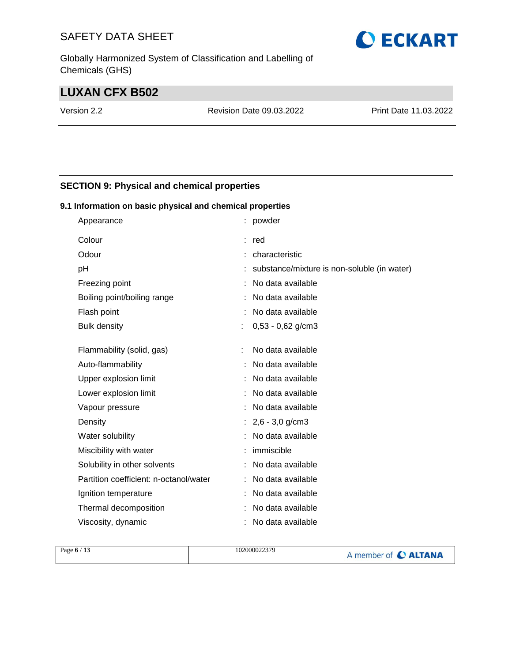Globally Harmonized System of Classification and Labelling of Chemicals (GHS)

### **LUXAN CFX B502**

Version 2.2 Revision Date 09.03.2022 Print Date 11.03.2022

#### **SECTION 9: Physical and chemical properties**

#### **9.1 Information on basic physical and chemical properties**

| Appearance                             |   | powder                                      |
|----------------------------------------|---|---------------------------------------------|
| Colour                                 |   | red                                         |
| Odour                                  |   | characteristic                              |
| рH                                     |   | substance/mixture is non-soluble (in water) |
| Freezing point                         |   | No data available                           |
| Boiling point/boiling range            |   | No data available                           |
| Flash point                            |   | No data available                           |
| <b>Bulk density</b>                    | ÷ | $0,53 - 0,62$ g/cm3                         |
|                                        |   |                                             |
| Flammability (solid, gas)              |   | No data available                           |
| Auto-flammability                      |   | No data available                           |
| Upper explosion limit                  |   | No data available                           |
| Lower explosion limit                  |   | No data available                           |
| Vapour pressure                        |   | No data available                           |
| Density                                |   | $2,6 - 3,0$ g/cm3                           |
| Water solubility                       |   | No data available                           |
| Miscibility with water                 |   | immiscible                                  |
| Solubility in other solvents           |   | No data available                           |
| Partition coefficient: n-octanol/water |   | No data available                           |
| Ignition temperature                   |   | No data available                           |
| Thermal decomposition                  |   | No data available                           |
| Viscosity, dynamic                     |   | No data available                           |

| Page $6/13$ | 102000022379 | A member of C ALTANA |
|-------------|--------------|----------------------|
|             |              |                      |

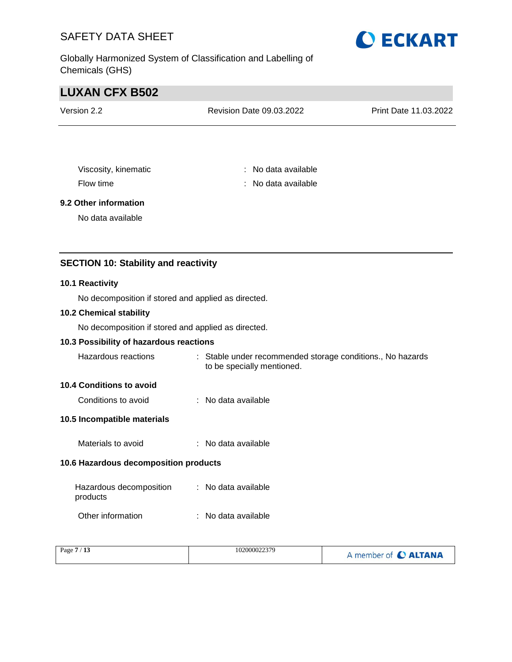Globally Harmonized System of Classification and Labelling of Chemicals (GHS)



### **LUXAN CFX B502**

| Version 2.2 | Revision Date 09.03.2022 | <b>Print Date 11.03.2022</b> |
|-------------|--------------------------|------------------------------|
|             |                          |                              |

Viscosity, kinematic **intervalse in the Contract Contract Contract Contract Contract Contract Contract Contract Contract Contract Contract Contract Contract Contract Contract Contract Contract Contract Contract Contract Co** Flow time : No data available

#### **9.2 Other information**

No data available

#### **SECTION 10: Stability and reactivity**

#### **10.1 Reactivity**

No decomposition if stored and applied as directed.

#### **10.2 Chemical stability**

No decomposition if stored and applied as directed.

#### **10.3 Possibility of hazardous reactions**

| Hazardous reactions | Stable under recommended storage conditions., No hazards |
|---------------------|----------------------------------------------------------|
|                     | to be specially mentioned.                               |

#### **10.4 Conditions to avoid**

| Conditions to avoid | No data available |
|---------------------|-------------------|
|                     |                   |

#### **10.5 Incompatible materials**

Materials to avoid : No data available

#### **10.6 Hazardous decomposition products**

| Hazardous decomposition<br>products | : No data available |
|-------------------------------------|---------------------|
| Other information                   | : No data available |

| Page $7/13$ | 102000022379 | A member of C ALTANA |
|-------------|--------------|----------------------|
|             |              |                      |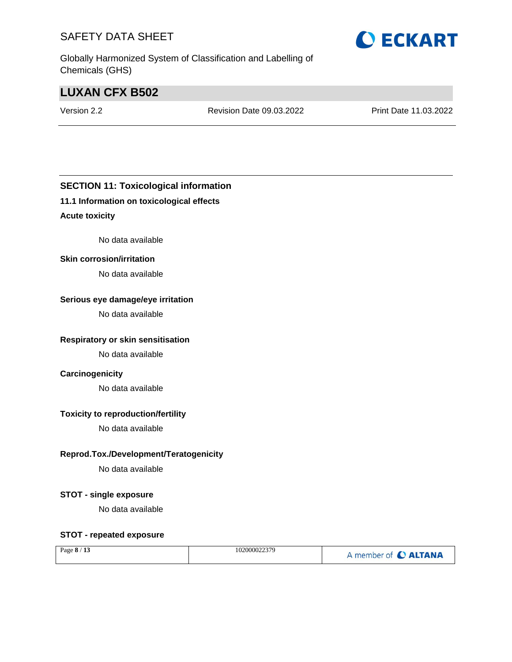Globally Harmonized System of Classification and Labelling of Chemicals (GHS)

### **LUXAN CFX B502**

Version 2.2 Revision Date 09.03.2022 Print Date 11.03.2022

### **SECTION 11: Toxicological information**

#### **11.1 Information on toxicological effects**

#### **Acute toxicity**

No data available

#### **Skin corrosion/irritation**

No data available

#### **Serious eye damage/eye irritation**

No data available

#### **Respiratory or skin sensitisation**

No data available

#### **Carcinogenicity**

No data available

#### **Toxicity to reproduction/fertility**

No data available

#### **Reprod.Tox./Development/Teratogenicity**

No data available

#### **STOT - single exposure**

No data available

#### **STOT - repeated exposure**

| Page 8 / 13 | 102000022379 | A member of <b>C ALTANA</b> |
|-------------|--------------|-----------------------------|
|-------------|--------------|-----------------------------|

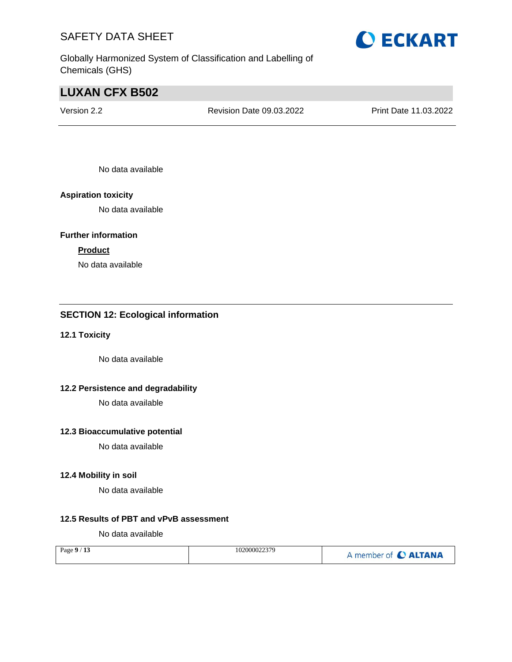Globally Harmonized System of Classification and Labelling of Chemicals (GHS)

## **LUXAN CFX B502**

Version 2.2 Revision Date 09.03.2022 Print Date 11.03.2022

No data available

#### **Aspiration toxicity**

No data available

#### **Further information**

#### **Product**

No data available

### **SECTION 12: Ecological information**

#### **12.1 Toxicity**

No data available

#### **12.2 Persistence and degradability**

No data available

#### **12.3 Bioaccumulative potential**

No data available

#### **12.4 Mobility in soil**

No data available

### **12.5 Results of PBT and vPvB assessment**

No data available

| Page $9/13$ | 102000022379 | A member of <b>C ALTANA</b> |
|-------------|--------------|-----------------------------|
|-------------|--------------|-----------------------------|

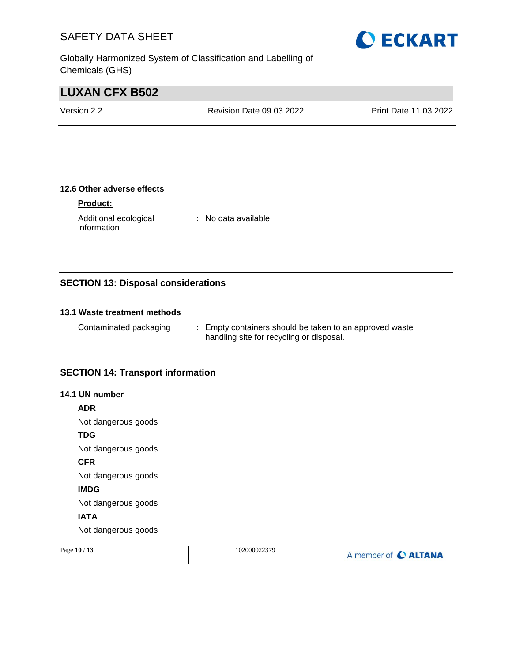Globally Harmonized System of Classification and Labelling of Chemicals (GHS)



### **LUXAN CFX B502**

Version 2.2 Revision Date 09.03.2022 Print Date 11.03.2022

#### **12.6 Other adverse effects**

#### **Product:**

Additional ecological information : No data available

#### **SECTION 13: Disposal considerations**

#### **13.1 Waste treatment methods**

Contaminated packaging : Empty containers should be taken to an approved waste handling site for recycling or disposal.

#### **SECTION 14: Transport information**

#### **14.1 UN number**

**ADR**

Not dangerous goods

#### **TDG**

Not dangerous goods

**CFR**

Not dangerous goods

**IMDG**

Not dangerous goods

#### **IATA**

Not dangerous goods

| Page 10 / 13 | 102000022379 | A member of C ALTANA |
|--------------|--------------|----------------------|
|              |              |                      |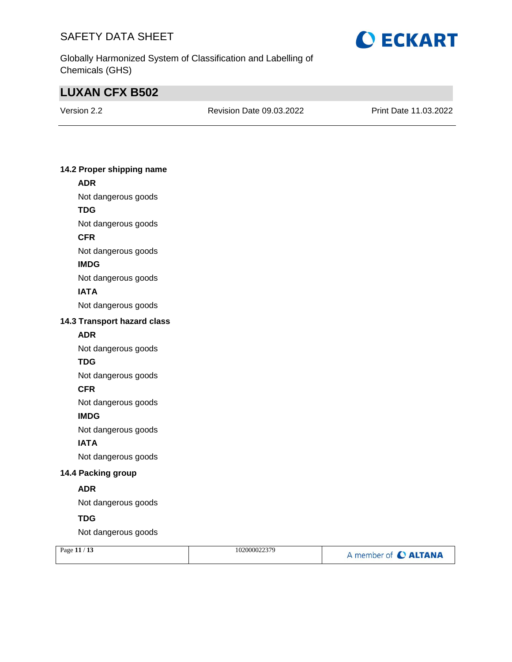

Globally Harmonized System of Classification and Labelling of Chemicals (GHS)

### **LUXAN CFX B502**

Version 2.2 Revision Date 09.03.2022 Print Date 11.03.2022

#### **14.2 Proper shipping name ADR**

- Not dangerous goods
- **TDG**
- Not dangerous goods
- **CFR**
- Not dangerous goods

#### **IMDG**

Not dangerous goods

#### **IATA**

Not dangerous goods

#### **14.3 Transport hazard class**

#### **ADR**

Not dangerous goods

#### **TDG**

Not dangerous goods

#### **CFR**

Not dangerous goods

#### **IMDG**

Not dangerous goods

#### **IATA**

Not dangerous goods

#### **14.4 Packing group**

#### **ADR**

Not dangerous goods

#### **TDG**

Not dangerous goods

| Page $11/13$ | 102000022379 | A member of C ALTANA |
|--------------|--------------|----------------------|
|              |              |                      |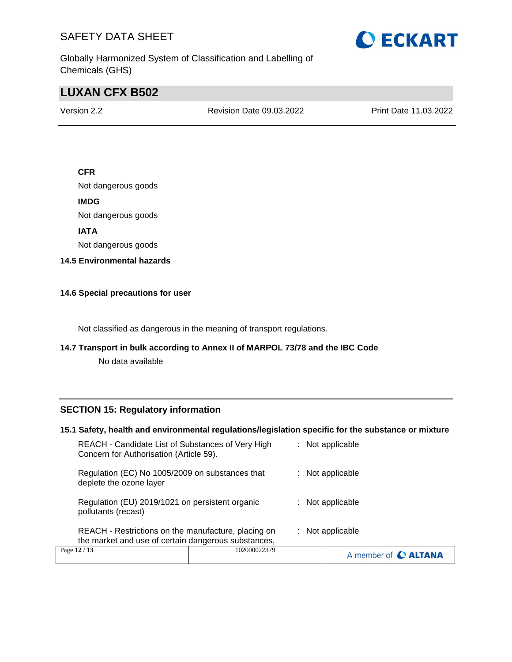

Globally Harmonized System of Classification and Labelling of Chemicals (GHS)

### **LUXAN CFX B502**

Version 2.2 Revision Date 09.03.2022 Print Date 11.03.2022

#### **CFR**

Not dangerous goods

**IMDG**

Not dangerous goods

**IATA**

Not dangerous goods

**14.5 Environmental hazards**

#### **14.6 Special precautions for user**

Not classified as dangerous in the meaning of transport regulations.

#### **14.7 Transport in bulk according to Annex II of MARPOL 73/78 and the IBC Code**

No data available

#### **SECTION 15: Regulatory information**

#### **15.1 Safety, health and environmental regulations/legislation specific for the substance or mixture**

| the market and use of certain dangerous substances,                                          | $:$ Not applicable |
|----------------------------------------------------------------------------------------------|--------------------|
| REACH - Restrictions on the manufacture, placing on                                          |                    |
| Regulation (EU) 2019/1021 on persistent organic<br>pollutants (recast)                       | : Not applicable   |
| Regulation (EC) No 1005/2009 on substances that<br>deplete the ozone layer                   | $:$ Not applicable |
| REACH - Candidate List of Substances of Very High<br>Concern for Authorisation (Article 59). | $:$ Not applicable |